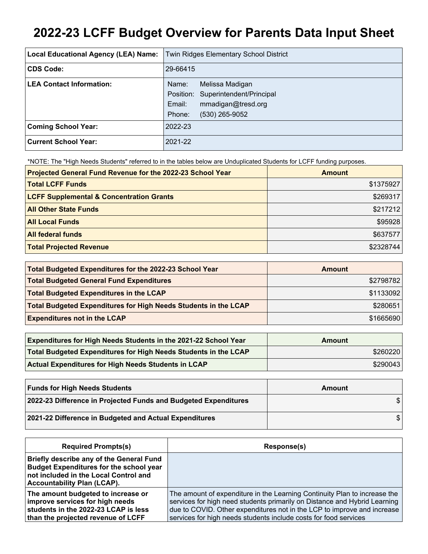# **2022-23 LCFF Budget Overview for Parents Data Input Sheet**

| Local Educational Agency (LEA) Name: | <b>Twin Ridges Elementary School District</b>                                                  |
|--------------------------------------|------------------------------------------------------------------------------------------------|
| <b>CDS Code:</b>                     | 29-66415                                                                                       |
| <b>LEA Contact Information:</b>      | Melissa Madigan<br>Name:<br>Position: Superintendent/Principal<br>mmadigan@tresd.org<br>Email: |
|                                      | (530) 265-9052<br>Phone:                                                                       |
| <b>Coming School Year:</b>           | 2022-23                                                                                        |
| <b>Current School Year:</b>          | 2021-22                                                                                        |

\*NOTE: The "High Needs Students" referred to in the tables below are Unduplicated Students for LCFF funding purposes.

| Projected General Fund Revenue for the 2022-23 School Year | <b>Amount</b> |
|------------------------------------------------------------|---------------|
| <b>Total LCFF Funds</b>                                    | \$1375927     |
| <b>LCFF Supplemental &amp; Concentration Grants</b>        | \$269317      |
| <b>All Other State Funds</b>                               | \$217212      |
| <b>All Local Funds</b>                                     | \$95928       |
| <b>All federal funds</b>                                   | \$637577      |
| <b>Total Projected Revenue</b>                             | \$2328744     |

| Total Budgeted Expenditures for the 2022-23 School Year         | Amount    |
|-----------------------------------------------------------------|-----------|
| <b>Total Budgeted General Fund Expenditures</b>                 | \$2798782 |
| <b>Total Budgeted Expenditures in the LCAP</b>                  | \$1133092 |
| Total Budgeted Expenditures for High Needs Students in the LCAP | \$280651  |
| <b>Expenditures not in the LCAP</b>                             | \$1665690 |

| <b>Expenditures for High Needs Students in the 2021-22 School Year</b> | Amount   |
|------------------------------------------------------------------------|----------|
| Total Budgeted Expenditures for High Needs Students in the LCAP        | \$260220 |
| <b>Actual Expenditures for High Needs Students in LCAP</b>             | \$290043 |

| <b>Funds for High Needs Students</b>                            | Amount |
|-----------------------------------------------------------------|--------|
| 2022-23 Difference in Projected Funds and Budgeted Expenditures |        |
| 2021-22 Difference in Budgeted and Actual Expenditures          |        |

| <b>Required Prompts(s)</b>                                                                                                                                                | Response(s)                                                                                                                                                                                                                                                                                           |
|---------------------------------------------------------------------------------------------------------------------------------------------------------------------------|-------------------------------------------------------------------------------------------------------------------------------------------------------------------------------------------------------------------------------------------------------------------------------------------------------|
| Briefly describe any of the General Fund<br><b>Budget Expenditures for the school year</b><br>not included in the Local Control and<br><b>Accountability Plan (LCAP).</b> |                                                                                                                                                                                                                                                                                                       |
| The amount budgeted to increase or<br>improve services for high needs<br>students in the 2022-23 LCAP is less<br>than the projected revenue of LCFF                       | The amount of expenditure in the Learning Continuity Plan to increase the<br>services for high need students primarily on Distance and Hybrid Learning<br>due to COVID. Other expenditures not in the LCP to improve and increase<br>services for high needs students include costs for food services |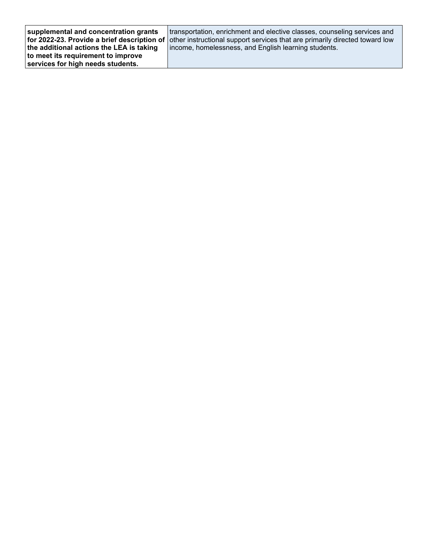| supplemental and concentration grants<br>the additional actions the LEA is taking | transportation, enrichment and elective classes, counseling services and<br>for 2022-23. Provide a brief description of other instructional support services that are primarily directed toward low<br>income, homelessness, and English learning students. |
|-----------------------------------------------------------------------------------|-------------------------------------------------------------------------------------------------------------------------------------------------------------------------------------------------------------------------------------------------------------|
| to meet its requirement to improve<br>services for high needs students.           |                                                                                                                                                                                                                                                             |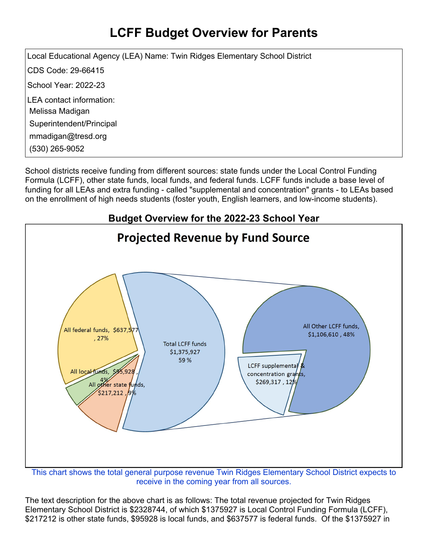## **LCFF Budget Overview for Parents**

Local Educational Agency (LEA) Name: Twin Ridges Elementary School District CDS Code: 29-66415 School Year: 2022-23 LEA contact information: Melissa Madigan Superintendent/Principal mmadigan@tresd.org (530) 265-9052

School districts receive funding from different sources: state funds under the Local Control Funding Formula (LCFF), other state funds, local funds, and federal funds. LCFF funds include a base level of funding for all LEAs and extra funding - called "supplemental and concentration" grants - to LEAs based on the enrollment of high needs students (foster youth, English learners, and low-income students).



receive in the coming year from all sources.

The text description for the above chart is as follows: The total revenue projected for Twin Ridges Elementary School District is \$2328744, of which \$1375927 is Local Control Funding Formula (LCFF), \$217212 is other state funds, \$95928 is local funds, and \$637577 is federal funds. Of the \$1375927 in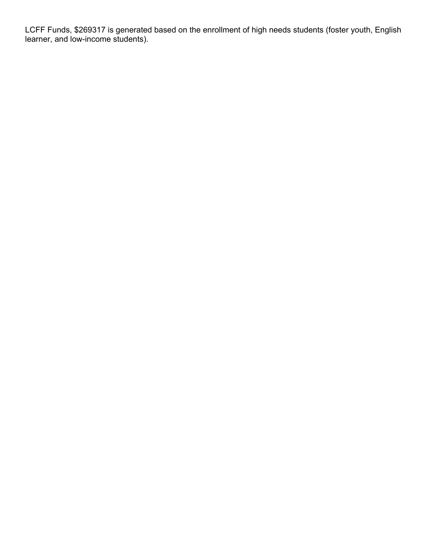LCFF Funds, \$269317 is generated based on the enrollment of high needs students (foster youth, English learner, and low-income students).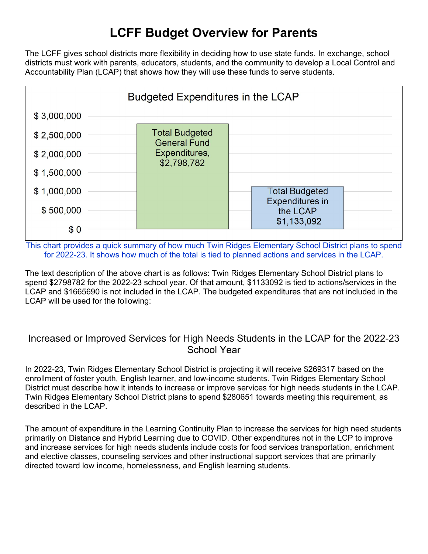### **LCFF Budget Overview for Parents**

The LCFF gives school districts more flexibility in deciding how to use state funds. In exchange, school districts must work with parents, educators, students, and the community to develop a Local Control and Accountability Plan (LCAP) that shows how they will use these funds to serve students.



This chart provides a quick summary of how much Twin Ridges Elementary School District plans to spend for 2022-23. It shows how much of the total is tied to planned actions and services in the LCAP.

The text description of the above chart is as follows: Twin Ridges Elementary School District plans to spend \$2798782 for the 2022-23 school year. Of that amount, \$1133092 is tied to actions/services in the LCAP and \$1665690 is not included in the LCAP. The budgeted expenditures that are not included in the LCAP will be used for the following:

#### Increased or Improved Services for High Needs Students in the LCAP for the 2022-23 School Year

In 2022-23, Twin Ridges Elementary School District is projecting it will receive \$269317 based on the enrollment of foster youth, English learner, and low-income students. Twin Ridges Elementary School District must describe how it intends to increase or improve services for high needs students in the LCAP. Twin Ridges Elementary School District plans to spend \$280651 towards meeting this requirement, as described in the LCAP.

The amount of expenditure in the Learning Continuity Plan to increase the services for high need students primarily on Distance and Hybrid Learning due to COVID. Other expenditures not in the LCP to improve and increase services for high needs students include costs for food services transportation, enrichment and elective classes, counseling services and other instructional support services that are primarily directed toward low income, homelessness, and English learning students.